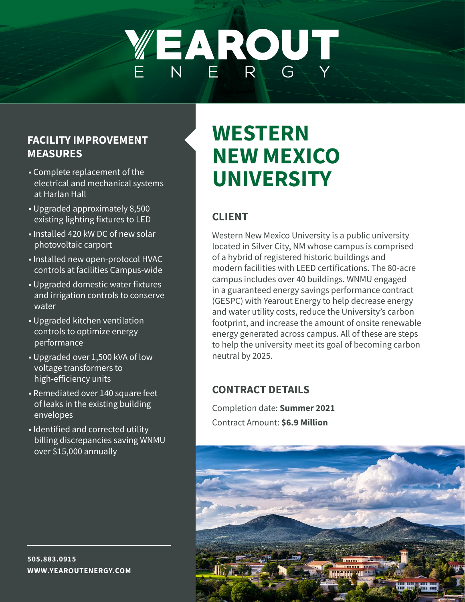# WEAROUT

### **FACILITY IMPROVEMENT MEASURES**

- Complete replacement of the electrical and mechanical systems at Harlan Hall
- Upgraded approximately 8,500 existing lighting fixtures to LED
- Installed 420 kW DC of new solar photovoltaic carport
- Installed new open-protocol HVAC controls at facilities Campus-wide
- Upgraded domestic water fixtures and irrigation controls to conserve water
- Upgraded kitchen ventilation controls to optimize energy performance
- Upgraded over 1,500 kVA of low voltage transformers to high-efficiency units
- Remediated over 140 square feet of leaks in the existing building envelopes
- Identified and corrected utility billing discrepancies saving WNMU over \$15,000 annually

### **WESTERN NEW MEXICO UNIVERSITY**

### **CLIENT**

Western New Mexico University is a public university located in Silver City, NM whose campus is comprised of a hybrid of registered historic buildings and modern facilities with LEED certifications. The 80-acre campus includes over 40 buildings. WNMU engaged in a guaranteed energy savings performance contract (GESPC) with Yearout Energy to help decrease energy and water utility costs, reduce the University's carbon footprint, and increase the amount of onsite renewable energy generated across campus. All of these are steps to help the university meet its goal of becoming carbon neutral by 2025.

### **CONTRACT DETAILS**

Completion date: **Summer 2021** Contract Amount: **\$6.9 Million**



**505.883.0915 WWW.YEAROUTENERGY.COM**